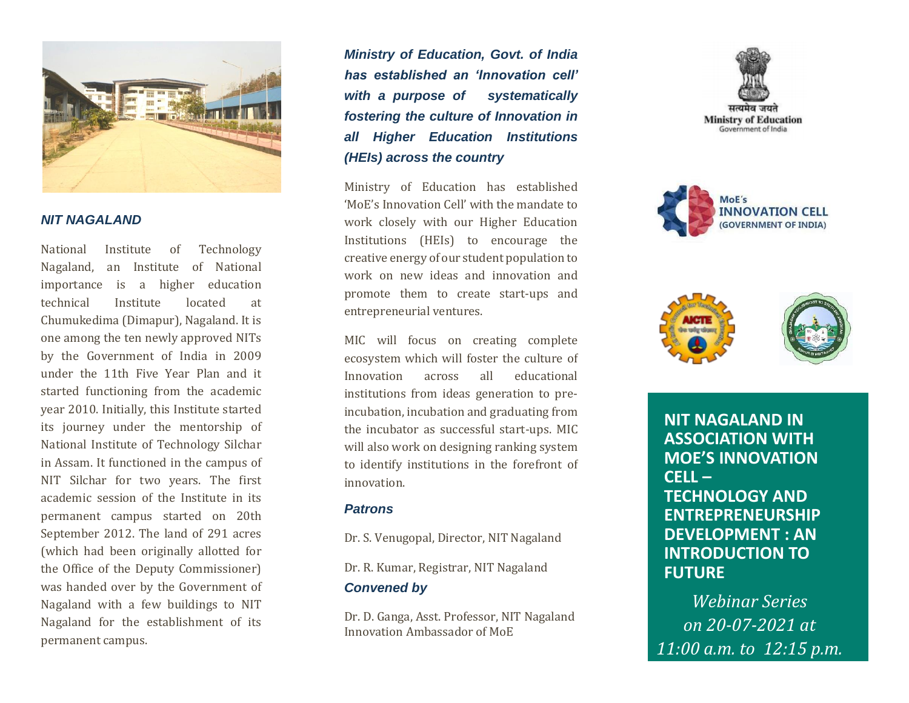

#### *NIT NAGALAND*

National Institute of Technology Nagaland, an Institute of National importance is a higher education technical Institute located at Chumukedima (Dimapur), Nagaland. It is one among the ten newly approved NITs by the Government of India in 2009 under the 11th Five Year Plan and it started functioning from the academic year 2010. Initially, this Institute started its journey under the mentorship of National Institute of Technology Silchar in Assam. It functioned in the campus of NIT Silchar for two years. The first academic session of the Institute in its permanent campus started on 20th September 2012. The land of 291 acres (which had been originally allotted for the Office of the Deputy Commissioner) was handed over by the Government of Nagaland with a few buildings to NIT Nagaland for the establishment of its permanent campus.

*Ministry of Education, Govt. of India has established an 'Innovation cell' with a purpose of systematically fostering the culture of Innovation in all Higher Education Institutions (HEIs) across the country*

Ministry of Education has established 'MoE's Innovation Cell' with the mandate to work closely with our Higher Education Institutions (HEIs) to encourage the creative energy of our student population to work on new ideas and innovation and promote them to create start-ups and entrepreneurial ventures.

MIC will focus on creating complete ecosystem which will foster the culture of Innovation across all educational institutions from ideas generation to preincubation, incubation and graduating from the incubator as successful start-ups. MIC will also work on designing ranking system to identify institutions in the forefront of innovation.

#### *Patrons*

Dr. S. Venugopal, Director, NIT Nagaland

Dr. R. Kumar, Registrar, NIT Nagaland

## *Convened by*

Dr. D. Ganga, Asst. Professor, NIT Nagaland Innovation Ambassador of MoE







**NIT NAGALAND IN ASSOCIATION WITH MOE'S INNOVATION CELL – TECHNOLOGY AND ENTREPRENEURSHIP DEVELOPMENT : AN INTRODUCTION TO FUTURE** 

*Webinar Series on 20-07-2021 at 11:00 a.m. to 12:15 p.m.*